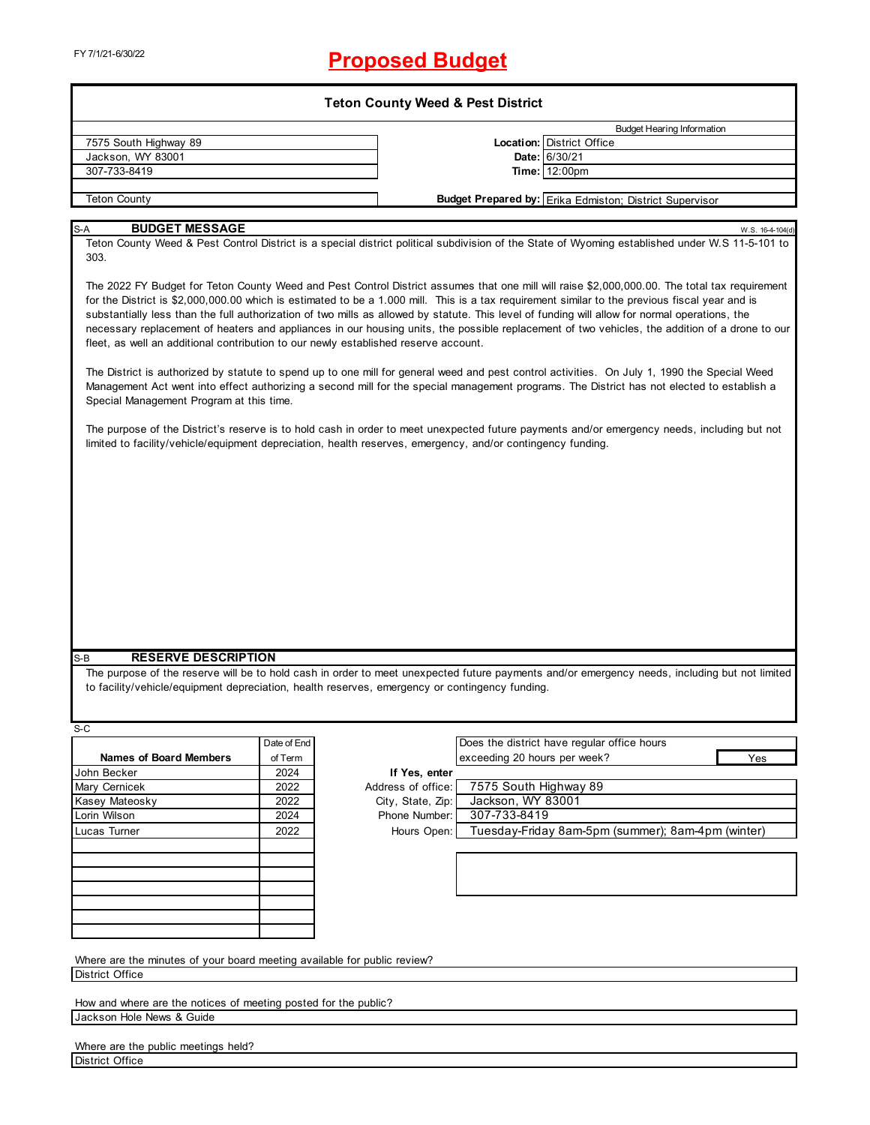# FY 7/1/21-6/30/22 **Proposed Budget**

| <b>Teton County Weed &amp; Pest District</b>                                                                                                                                                                                                           |             |                    |                              |                                                                                                                                                                                                                                                                                                                                                                                                                                                                                                                                                                                                                                                                                                                                                                                                                                                                                                                                                                                                                                                                                                                                                                                                                         |  |  |  |
|--------------------------------------------------------------------------------------------------------------------------------------------------------------------------------------------------------------------------------------------------------|-------------|--------------------|------------------------------|-------------------------------------------------------------------------------------------------------------------------------------------------------------------------------------------------------------------------------------------------------------------------------------------------------------------------------------------------------------------------------------------------------------------------------------------------------------------------------------------------------------------------------------------------------------------------------------------------------------------------------------------------------------------------------------------------------------------------------------------------------------------------------------------------------------------------------------------------------------------------------------------------------------------------------------------------------------------------------------------------------------------------------------------------------------------------------------------------------------------------------------------------------------------------------------------------------------------------|--|--|--|
|                                                                                                                                                                                                                                                        |             |                    |                              | <b>Budget Hearing Information</b>                                                                                                                                                                                                                                                                                                                                                                                                                                                                                                                                                                                                                                                                                                                                                                                                                                                                                                                                                                                                                                                                                                                                                                                       |  |  |  |
| 7575 South Highway 89                                                                                                                                                                                                                                  |             |                    |                              | Location: District Office                                                                                                                                                                                                                                                                                                                                                                                                                                                                                                                                                                                                                                                                                                                                                                                                                                                                                                                                                                                                                                                                                                                                                                                               |  |  |  |
| Jackson, WY 83001                                                                                                                                                                                                                                      |             |                    |                              | Date: 6/30/21                                                                                                                                                                                                                                                                                                                                                                                                                                                                                                                                                                                                                                                                                                                                                                                                                                                                                                                                                                                                                                                                                                                                                                                                           |  |  |  |
| 307-733-8419                                                                                                                                                                                                                                           |             |                    |                              | Time: 12:00pm                                                                                                                                                                                                                                                                                                                                                                                                                                                                                                                                                                                                                                                                                                                                                                                                                                                                                                                                                                                                                                                                                                                                                                                                           |  |  |  |
|                                                                                                                                                                                                                                                        |             |                    |                              |                                                                                                                                                                                                                                                                                                                                                                                                                                                                                                                                                                                                                                                                                                                                                                                                                                                                                                                                                                                                                                                                                                                                                                                                                         |  |  |  |
| <b>Teton County</b>                                                                                                                                                                                                                                    |             |                    |                              | <b>Budget Prepared by: Erika Edmiston; District Supervisor</b>                                                                                                                                                                                                                                                                                                                                                                                                                                                                                                                                                                                                                                                                                                                                                                                                                                                                                                                                                                                                                                                                                                                                                          |  |  |  |
| <b>BUDGET MESSAGE</b><br>S-A                                                                                                                                                                                                                           |             |                    |                              |                                                                                                                                                                                                                                                                                                                                                                                                                                                                                                                                                                                                                                                                                                                                                                                                                                                                                                                                                                                                                                                                                                                                                                                                                         |  |  |  |
| 303.<br>fleet, as well an additional contribution to our newly established reserve account.<br>Special Management Program at this time.<br>limited to facility/vehicle/equipment depreciation, health reserves, emergency, and/or contingency funding. |             |                    |                              | W.S. 16-4-104(d)<br>Teton County Weed & Pest Control District is a special district political subdivision of the State of Wyoming established under W.S 11-5-101 to<br>The 2022 FY Budget for Teton County Weed and Pest Control District assumes that one mill will raise \$2,000,000.00. The total tax requirement<br>for the District is \$2,000,000.00 which is estimated to be a 1.000 mill. This is a tax requirement similar to the previous fiscal year and is<br>substantially less than the full authorization of two mills as allowed by statute. This level of funding will allow for normal operations, the<br>necessary replacement of heaters and appliances in our housing units, the possible replacement of two vehicles, the addition of a drone to our<br>The District is authorized by statute to spend up to one mill for general weed and pest control activities. On July 1, 1990 the Special Weed<br>Management Act went into effect authorizing a second mill for the special management programs. The District has not elected to establish a<br>The purpose of the District's reserve is to hold cash in order to meet unexpected future payments and/or emergency needs, including but not |  |  |  |
| <b>RESERVE DESCRIPTION</b><br>S-B<br>to facility/vehicle/equipment depreciation, health reserves, emergency or contingency funding.                                                                                                                    |             |                    |                              | The purpose of the reserve will be to hold cash in order to meet unexpected future payments and/or emergency needs, including but not limited                                                                                                                                                                                                                                                                                                                                                                                                                                                                                                                                                                                                                                                                                                                                                                                                                                                                                                                                                                                                                                                                           |  |  |  |
|                                                                                                                                                                                                                                                        |             |                    |                              |                                                                                                                                                                                                                                                                                                                                                                                                                                                                                                                                                                                                                                                                                                                                                                                                                                                                                                                                                                                                                                                                                                                                                                                                                         |  |  |  |
| S-C                                                                                                                                                                                                                                                    |             |                    |                              |                                                                                                                                                                                                                                                                                                                                                                                                                                                                                                                                                                                                                                                                                                                                                                                                                                                                                                                                                                                                                                                                                                                                                                                                                         |  |  |  |
|                                                                                                                                                                                                                                                        | Date of End |                    |                              | Does the district have regular office hours                                                                                                                                                                                                                                                                                                                                                                                                                                                                                                                                                                                                                                                                                                                                                                                                                                                                                                                                                                                                                                                                                                                                                                             |  |  |  |
| <b>Names of Board Members</b>                                                                                                                                                                                                                          | of Term     |                    | exceeding 20 hours per week? | Yes                                                                                                                                                                                                                                                                                                                                                                                                                                                                                                                                                                                                                                                                                                                                                                                                                                                                                                                                                                                                                                                                                                                                                                                                                     |  |  |  |
| John Becker                                                                                                                                                                                                                                            | 2024        | If Yes, enter      | 7575 South Highway 89        |                                                                                                                                                                                                                                                                                                                                                                                                                                                                                                                                                                                                                                                                                                                                                                                                                                                                                                                                                                                                                                                                                                                                                                                                                         |  |  |  |
| Mary Cernicek                                                                                                                                                                                                                                          | 2022        | Address of office: |                              |                                                                                                                                                                                                                                                                                                                                                                                                                                                                                                                                                                                                                                                                                                                                                                                                                                                                                                                                                                                                                                                                                                                                                                                                                         |  |  |  |
| Kasey Mateosky                                                                                                                                                                                                                                         | 2022        | City, State, Zip:  | Jackson, WY 83001            |                                                                                                                                                                                                                                                                                                                                                                                                                                                                                                                                                                                                                                                                                                                                                                                                                                                                                                                                                                                                                                                                                                                                                                                                                         |  |  |  |
| Lorin Wilson                                                                                                                                                                                                                                           | 2024        | Phone Number:      | 307-733-8419                 |                                                                                                                                                                                                                                                                                                                                                                                                                                                                                                                                                                                                                                                                                                                                                                                                                                                                                                                                                                                                                                                                                                                                                                                                                         |  |  |  |
| Lucas Turner                                                                                                                                                                                                                                           | 2022        | Hours Open:        |                              | Tuesday-Friday 8am-5pm (summer); 8am-4pm (winter)                                                                                                                                                                                                                                                                                                                                                                                                                                                                                                                                                                                                                                                                                                                                                                                                                                                                                                                                                                                                                                                                                                                                                                       |  |  |  |
|                                                                                                                                                                                                                                                        |             |                    |                              |                                                                                                                                                                                                                                                                                                                                                                                                                                                                                                                                                                                                                                                                                                                                                                                                                                                                                                                                                                                                                                                                                                                                                                                                                         |  |  |  |
|                                                                                                                                                                                                                                                        |             |                    |                              |                                                                                                                                                                                                                                                                                                                                                                                                                                                                                                                                                                                                                                                                                                                                                                                                                                                                                                                                                                                                                                                                                                                                                                                                                         |  |  |  |
|                                                                                                                                                                                                                                                        |             |                    |                              |                                                                                                                                                                                                                                                                                                                                                                                                                                                                                                                                                                                                                                                                                                                                                                                                                                                                                                                                                                                                                                                                                                                                                                                                                         |  |  |  |
|                                                                                                                                                                                                                                                        |             |                    |                              |                                                                                                                                                                                                                                                                                                                                                                                                                                                                                                                                                                                                                                                                                                                                                                                                                                                                                                                                                                                                                                                                                                                                                                                                                         |  |  |  |
|                                                                                                                                                                                                                                                        |             |                    |                              |                                                                                                                                                                                                                                                                                                                                                                                                                                                                                                                                                                                                                                                                                                                                                                                                                                                                                                                                                                                                                                                                                                                                                                                                                         |  |  |  |
|                                                                                                                                                                                                                                                        |             |                    |                              |                                                                                                                                                                                                                                                                                                                                                                                                                                                                                                                                                                                                                                                                                                                                                                                                                                                                                                                                                                                                                                                                                                                                                                                                                         |  |  |  |
|                                                                                                                                                                                                                                                        |             |                    |                              |                                                                                                                                                                                                                                                                                                                                                                                                                                                                                                                                                                                                                                                                                                                                                                                                                                                                                                                                                                                                                                                                                                                                                                                                                         |  |  |  |
| Where are the minutes of your board meeting available for public review?                                                                                                                                                                               |             |                    |                              |                                                                                                                                                                                                                                                                                                                                                                                                                                                                                                                                                                                                                                                                                                                                                                                                                                                                                                                                                                                                                                                                                                                                                                                                                         |  |  |  |
| <b>District Office</b>                                                                                                                                                                                                                                 |             |                    |                              |                                                                                                                                                                                                                                                                                                                                                                                                                                                                                                                                                                                                                                                                                                                                                                                                                                                                                                                                                                                                                                                                                                                                                                                                                         |  |  |  |
|                                                                                                                                                                                                                                                        |             |                    |                              |                                                                                                                                                                                                                                                                                                                                                                                                                                                                                                                                                                                                                                                                                                                                                                                                                                                                                                                                                                                                                                                                                                                                                                                                                         |  |  |  |
| How and where are the notices of meeting posted for the public?                                                                                                                                                                                        |             |                    |                              |                                                                                                                                                                                                                                                                                                                                                                                                                                                                                                                                                                                                                                                                                                                                                                                                                                                                                                                                                                                                                                                                                                                                                                                                                         |  |  |  |
| Jackson Hole News & Guide                                                                                                                                                                                                                              |             |                    |                              |                                                                                                                                                                                                                                                                                                                                                                                                                                                                                                                                                                                                                                                                                                                                                                                                                                                                                                                                                                                                                                                                                                                                                                                                                         |  |  |  |

|                 |  | Where are the public meetings held? |  |
|-----------------|--|-------------------------------------|--|
| District Office |  |                                     |  |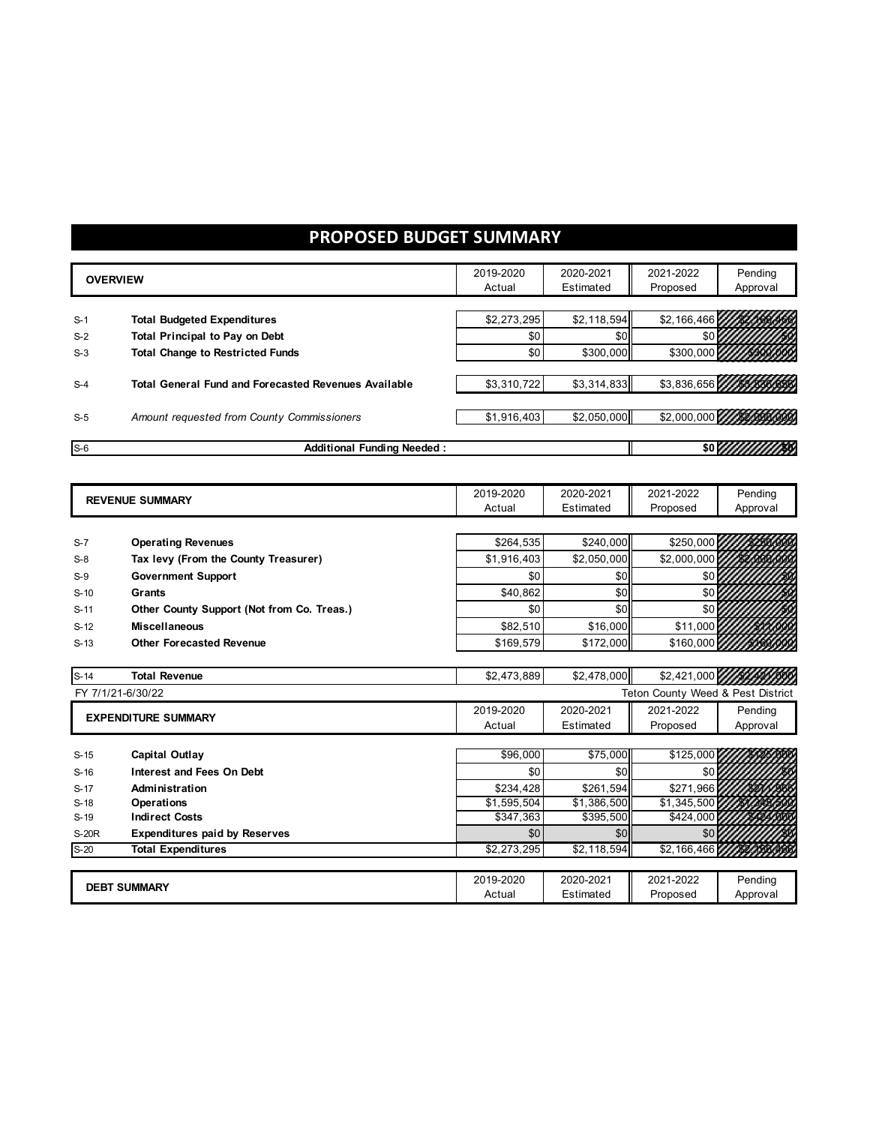# **PROPOSED BUDGET SUMMARY**

|        | <b>OVERVIEW</b>                                             | 2019-2020   | 2020-2021   | 2021-2022                         | Pending  |
|--------|-------------------------------------------------------------|-------------|-------------|-----------------------------------|----------|
|        |                                                             | Actual      | Estimated   | Proposed                          | Approval |
|        |                                                             |             |             |                                   |          |
| $S-1$  | <b>Total Budgeted Expenditures</b>                          | \$2,273,295 | \$2,118,594 | \$2,166,466                       |          |
| $S-2$  | <b>Total Principal to Pay on Debt</b>                       | \$0         | \$0         | \$0                               |          |
| $S-3$  | <b>Total Change to Restricted Funds</b>                     | \$0         | \$300,000   | \$300,000                         |          |
| $S-4$  | <b>Total General Fund and Forecasted Revenues Available</b> | \$3,310,722 | \$3,314,833 | \$3,836,656                       |          |
| $S-5$  | Amount requested from County Commissioners                  | \$1,916,403 | \$2,050,000 | \$2,000,000                       |          |
| $S-6$  | <b>Additional Funding Needed:</b>                           |             |             | \$0 L.                            |          |
|        |                                                             |             |             |                                   |          |
|        |                                                             |             |             |                                   |          |
|        | <b>REVENUE SUMMARY</b>                                      | 2019-2020   | 2020-2021   | 2021-2022                         | Pending  |
|        |                                                             | Actual      | Estimated   | Proposed                          | Approval |
|        |                                                             |             |             |                                   |          |
| $S-7$  | <b>Operating Revenues</b>                                   | \$264,535   | \$240,000   | \$250,000                         |          |
| $S-8$  | Tax levy (From the County Treasurer)                        | \$1,916,403 | \$2,050,000 | \$2,000,000                       |          |
| $S-9$  | <b>Government Support</b>                                   | \$0         | \$0         | \$0                               |          |
| $S-10$ | Grants                                                      | \$40,862    | \$0         | \$0                               |          |
| $S-11$ | Other County Support (Not from Co. Treas.)                  | \$0         | \$0         | \$0                               |          |
| $S-12$ | <b>Miscellaneous</b>                                        | \$82,510    | \$16,000    | \$11,000                          |          |
| $S-13$ | <b>Other Forecasted Revenue</b>                             | \$169,579   | \$172,000   | \$160,000                         |          |
|        |                                                             |             |             |                                   |          |
| $S-14$ | <b>Total Revenue</b>                                        | \$2,473,889 | \$2,478,000 | \$2,421,000                       |          |
|        | FY 7/1/21-6/30/22                                           |             |             | Teton County Weed & Pest District |          |
|        |                                                             | 2019-2020   | 2020-2021   | 2021-2022                         | Pending  |
|        | <b>EXPENDITURE SUMMARY</b>                                  | Actual      | Estimated   | Proposed                          | Approval |
|        |                                                             |             |             |                                   |          |
| $S-15$ | Capital Outlay                                              | \$96,000    | \$75,000    | \$125,000                         |          |
| $S-16$ | <b>Interest and Fees On Debt</b>                            | \$0         | \$0         | \$0                               |          |
| $S-17$ | Administration                                              | \$234,428   | \$261.594   | \$271,966                         |          |
| $S-18$ | Operations                                                  | \$1,595,504 | \$1,386,500 | \$1,345,500                       |          |
| $S-19$ | <b>Indirect Costs</b>                                       | \$347,363   | \$395,500   | \$424,000                         |          |
| S-20R  | <b>Expenditures paid by Reserves</b>                        | \$0         | \$0         | \$0                               |          |
| $S-20$ | <b>Total Expenditures</b>                                   | \$2,273,295 | \$2,118,594 | \$2,166,466                       |          |
|        |                                                             |             |             |                                   |          |
|        | <b>DEBT SUMMARY</b>                                         | 2019-2020   | 2020-2021   | 2021-2022                         | Pending  |
|        |                                                             | Actual      | Estimated   | Proposed                          | Approval |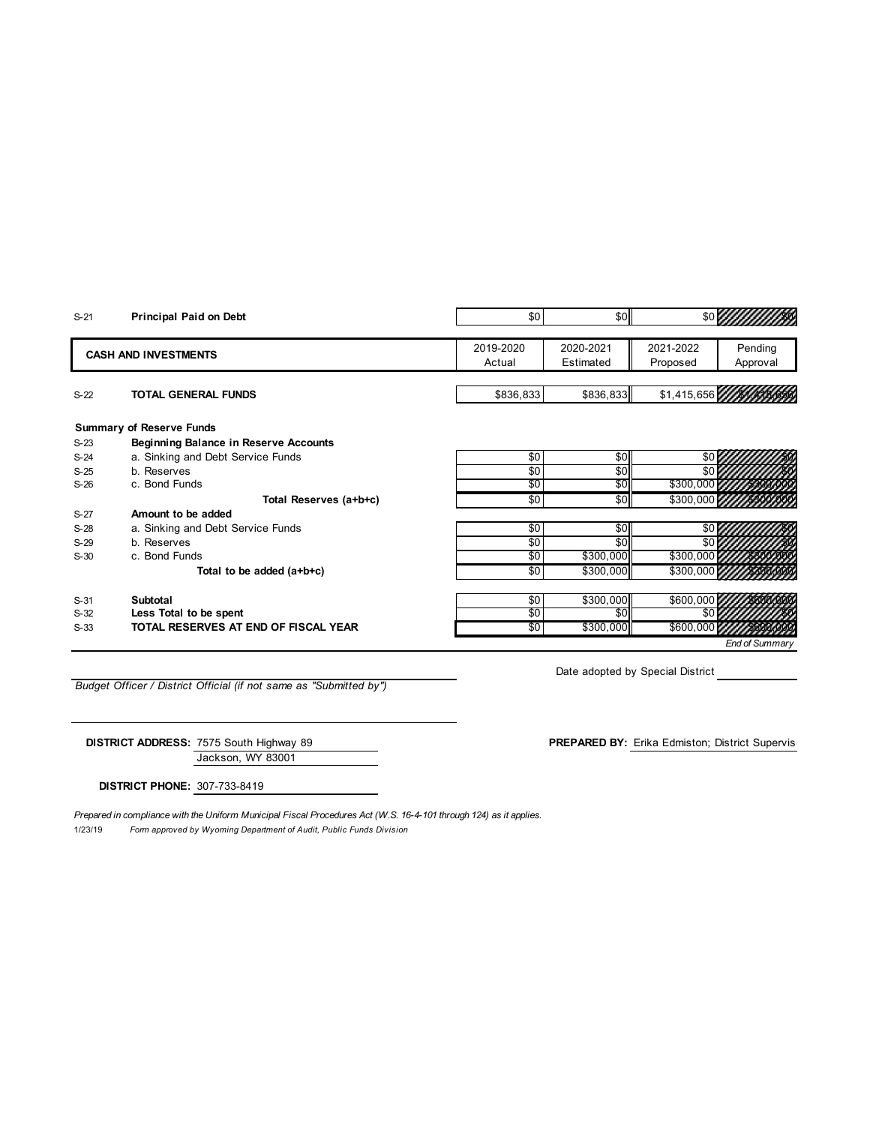| $S-21$ | Principal Paid on Debt                       | \$0             | \$0       | \$0 <sub>l</sub> |                |  |  |
|--------|----------------------------------------------|-----------------|-----------|------------------|----------------|--|--|
|        |                                              |                 |           |                  |                |  |  |
|        | <b>CASH AND INVESTMENTS</b>                  | 2019-2020       | 2020-2021 | 2021-2022        | Pending        |  |  |
|        |                                              | Actual          | Estimated | Proposed         | Approval       |  |  |
|        |                                              |                 |           |                  |                |  |  |
| $S-22$ | <b>TOTAL GENERAL FUNDS</b>                   | \$836,833       | \$836,833 | \$1,415,656      |                |  |  |
|        | <b>Summary of Reserve Funds</b>              |                 |           |                  |                |  |  |
| $S-23$ | <b>Beginning Balance in Reserve Accounts</b> |                 |           |                  |                |  |  |
| $S-24$ | a. Sinking and Debt Service Funds            | \$0             | \$0       | \$0 L            |                |  |  |
| $S-25$ | b. Reserves                                  | \$0             | \$0       |                  |                |  |  |
| $S-26$ | c. Bond Funds                                | \$0             | \$0       | \$300,000        |                |  |  |
|        | Total Reserves (a+b+c)                       | $\overline{50}$ | \$0       | \$300,000        |                |  |  |
| $S-27$ | Amount to be added                           |                 |           |                  |                |  |  |
| $S-28$ | a. Sinking and Debt Service Funds            | \$0             | \$0       | \$0              |                |  |  |
| $S-29$ | b. Reserves                                  | \$0             | \$0       | \$0              |                |  |  |
| $S-30$ | c. Bond Funds                                | \$0             | \$300,000 | \$300,000        |                |  |  |
|        | Total to be added (a+b+c)                    | \$0             | \$300,000 | \$300,000        |                |  |  |
| $S-31$ | Subtotal                                     | \$0             | \$300,000 | \$600,000        |                |  |  |
| $S-32$ | Less Total to be spent                       | \$0             | \$0       |                  |                |  |  |
| $S-33$ | TOTAL RESERVES AT END OF FISCAL YEAR         | \$0             | \$300,000 | \$600,000        |                |  |  |
|        |                                              |                 |           |                  | End of Summary |  |  |
|        |                                              |                 |           |                  |                |  |  |

*Budget Officer / District Official (if not same as "Submitted by")*

Date adopted by Special District

Jackson, WY 83001 **DISTRICT ADDRESS:** 7575 South Highway 89 **PREPARED BY:** Erika Edmiston; District Supervisor

**DISTRICT PHONE:** 307-733-8419

1/23/19 *Form approved by Wyoming Department of Audit, Public Funds Division Prepared in compliance with the Uniform Municipal Fiscal Procedures Act (W.S. 16-4-101 through 124) as it applies.*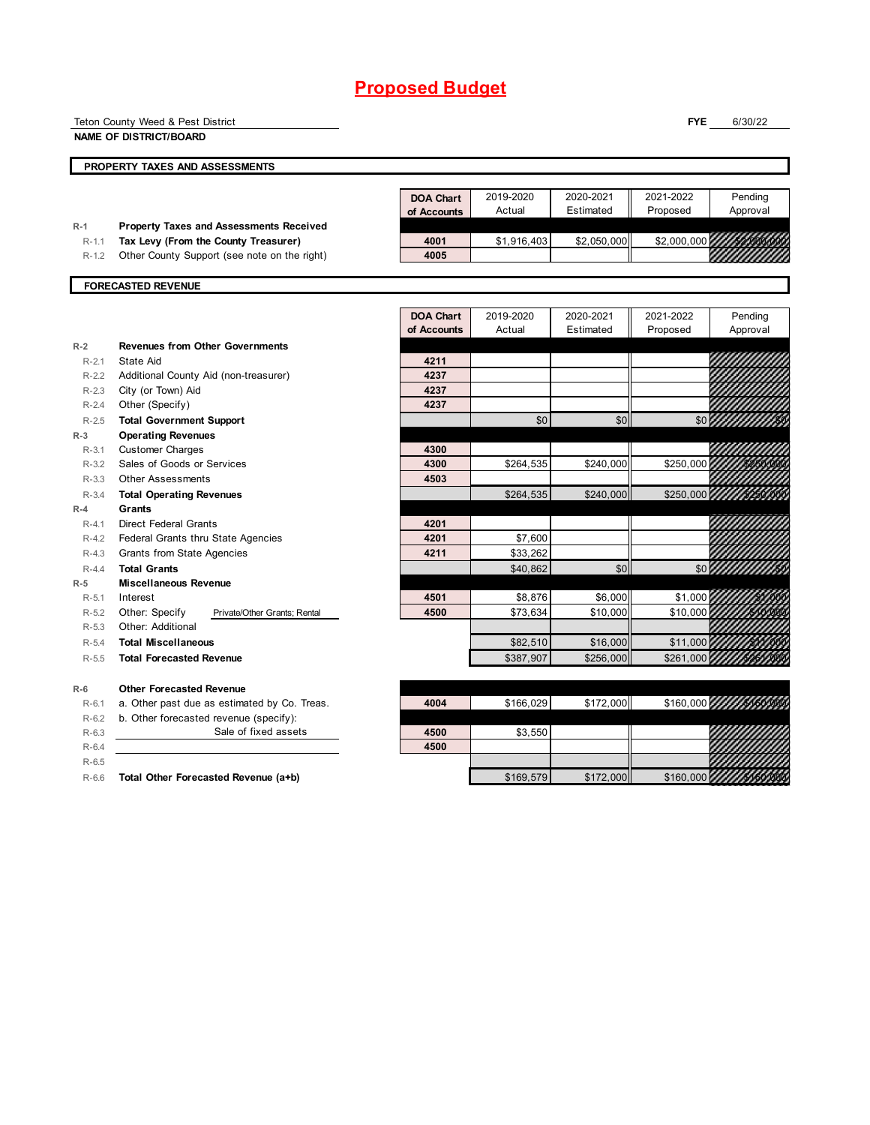|           | Teton County Weed & Pest District              |                  |             |             | <b>FYE</b>  | 6/30/22            |
|-----------|------------------------------------------------|------------------|-------------|-------------|-------------|--------------------|
|           | <b>NAME OF DISTRICT/BOARD</b>                  |                  |             |             |             |                    |
|           | PROPERTY TAXES AND ASSESSMENTS                 |                  |             |             |             |                    |
|           |                                                |                  |             |             |             |                    |
|           |                                                | <b>DOA Chart</b> | 2019-2020   | 2020-2021   | 2021-2022   | Pending            |
|           |                                                | of Accounts      | Actual      | Estimated   | Proposed    | Approval           |
| $R-1$     | <b>Property Taxes and Assessments Received</b> |                  |             |             |             |                    |
| $R - 1.1$ | Tax Levy (From the County Treasurer)           | 4001             | \$1,916,403 | \$2,050,000 | \$2,000,000 |                    |
| $R - 1.2$ | Other County Support (see note on the right)   | 4005             |             |             |             |                    |
|           | <b>FORECASTED REVENUE</b>                      |                  |             |             |             |                    |
|           |                                                |                  |             |             |             |                    |
|           |                                                | <b>DOA Chart</b> | 2019-2020   | 2020-2021   | 2021-2022   | Pending            |
|           |                                                | of Accounts      | Actual      | Estimated   | Proposed    | Approval           |
| $R-2$     | <b>Revenues from Other Governments</b>         |                  |             |             |             |                    |
| $R - 2.1$ | State Aid                                      | 4211             |             |             |             |                    |
| $R - 2.2$ | Additional County Aid (non-treasurer)          | 4237             |             |             |             |                    |
| $R - 2.3$ | City (or Town) Aid                             | 4237             |             |             |             |                    |
| $R - 2.4$ | Other (Specify)                                | 4237             |             |             |             |                    |
| $R - 2.5$ | <b>Total Government Support</b>                |                  | \$0         | \$0         | \$0         |                    |
| $R-3$     | <b>Operating Revenues</b>                      |                  |             |             |             |                    |
| $R-3.1$   | <b>Customer Charges</b>                        | 4300             |             |             |             |                    |
| $R-3.2$   | Sales of Goods or Services                     | 4300             | \$264,535   | \$240,000   | \$250,000   |                    |
| $R - 3.3$ | <b>Other Assessments</b>                       | 4503             |             |             |             |                    |
| $R - 3.4$ | <b>Total Operating Revenues</b>                |                  | \$264,535   | \$240,000   | \$250,000   |                    |
| $R-4$     | Grants                                         |                  |             |             |             |                    |
| $R-4.1$   | <b>Direct Federal Grants</b>                   | 4201             |             |             |             |                    |
| $R - 4.2$ | Federal Grants thru State Agencies             | 4201             | \$7,600     |             |             |                    |
| $R-4.3$   | Grants from State Agencies                     | 4211             | \$33,262    |             |             |                    |
| $R - 4.4$ | <b>Total Grants</b>                            |                  | \$40,862    | \$0         |             | $$0$ $\frac{1}{2}$ |
| $R-5$     | <b>Miscellaneous Revenue</b>                   |                  |             |             |             |                    |
| $R-5.1$   | Interest                                       | 4501             | \$8,876     | \$6,000     | \$1,000     |                    |
| $R-5.2$   | Other: Specify<br>Private/Other Grants; Rental | 4500             | \$73,634    | \$10,000    | \$10,000    |                    |
| $R - 5.3$ | Other: Additional                              |                  |             |             |             |                    |
| $R - 5.4$ | <b>Total Miscellaneous</b>                     |                  | \$82,510    | \$16,000    | \$11,000    |                    |
| $R-5.5$   | <b>Total Forecasted Revenue</b>                |                  | \$387,907   | \$256,000   | \$261,000   |                    |
| $R-6$     | <b>Other Forecasted Revenue</b>                |                  |             |             |             |                    |
| $R-6.1$   | a. Other past due as estimated by Co. Treas.   | 4004             | \$166,029   | \$172,000   |             |                    |
| $R-6.2$   | b. Other forecasted revenue (specify):         |                  |             |             |             |                    |
| $R-6.3$   | Sale of fixed assets                           | 4500             | \$3,550     |             |             |                    |
| $R-6.4$   |                                                | 4500             |             |             |             |                    |
| $R-6.5$   |                                                |                  |             |             |             |                    |
| $R-6.6$   | Total Other Forecasted Revenue (a+b)           |                  | \$169,579   | \$172,000   | \$160,000   |                    |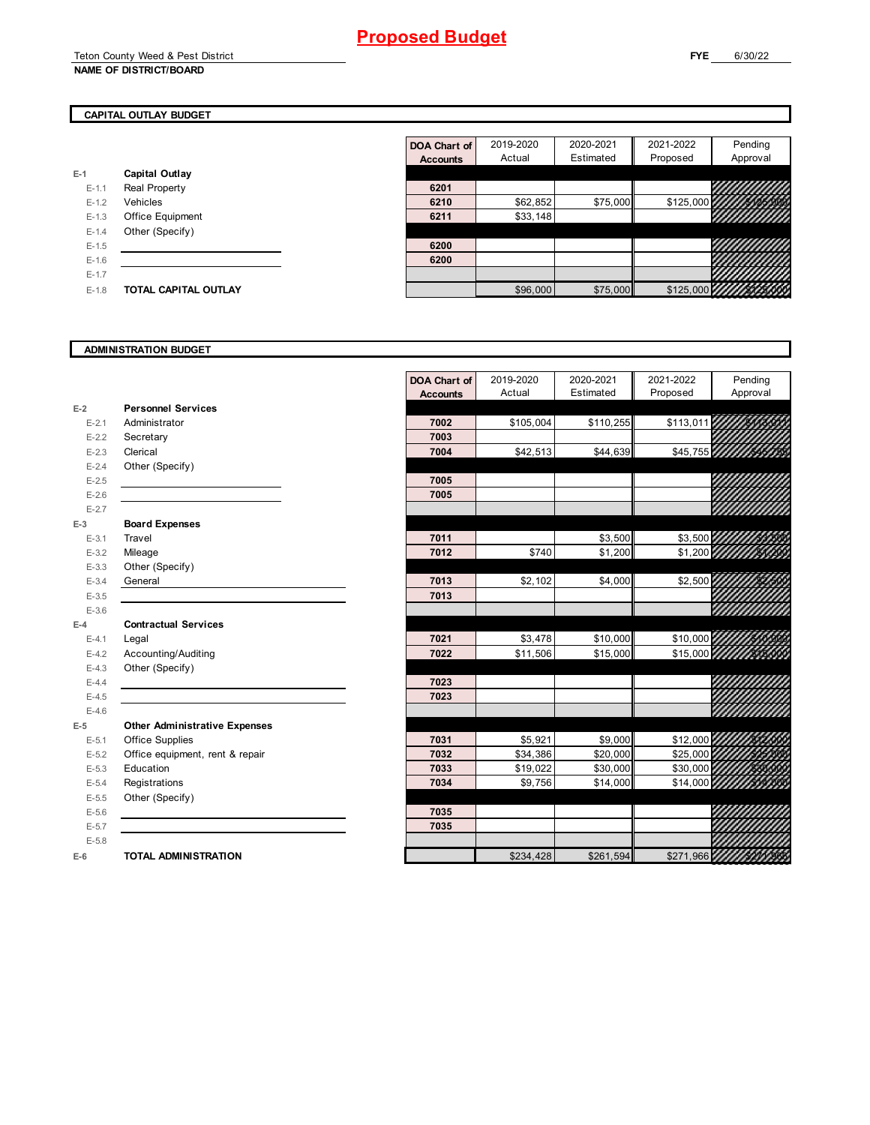### **CAPITAL OUTLAY BUDGET**

|           |                             | <b>Accounts</b> | Actual   |
|-----------|-----------------------------|-----------------|----------|
| $E-1$     | Capital Outlay              |                 |          |
| $E-1.1$   | <b>Real Property</b>        | 6201            |          |
| $E-1.2$   | Vehicles                    | 6210            | \$62,852 |
| $E-1.3$   | <b>Office Equipment</b>     | 6211            | \$33,148 |
| $E - 1.4$ | Other (Specify)             |                 |          |
| $E-1.5$   |                             | 6200            |          |
| $E - 1.6$ |                             | 6200            |          |
| $E - 1.7$ |                             |                 |          |
| $E-1.8$   | <b>TOTAL CAPITAL OUTLAY</b> |                 | \$96,000 |

|           |                             | DOA Chart of    | 2019-2020 | 2020-2021 | 2021-2022        | Pending  |
|-----------|-----------------------------|-----------------|-----------|-----------|------------------|----------|
|           |                             | <b>Accounts</b> | Actual    | Estimated | Proposed         | Approval |
|           | Capital Outlay              |                 |           |           |                  |          |
| $E-1.1$   | Real Property               | 6201            |           |           |                  | 99       |
| $E-1.2$   | Vehicles                    | 6210            | \$62,852  | \$75,000  | $$125,000$ $144$ | yuuu     |
| $E-1.3$   | Office Equipment            | 6211            | \$33,148  |           |                  | HH.      |
| $E - 1.4$ | Other (Specify)             |                 |           |           |                  |          |
| $E-1.5$   |                             | 6200            |           |           |                  |          |
| $E - 1.6$ |                             | 6200            |           |           |                  | 999      |
| $E-1.7$   |                             |                 |           |           |                  | 44       |
| $E-1.8$   | <b>TOTAL CAPITAL OUTLAY</b> |                 | \$96,000  | \$75,000  |                  |          |

### **ADMINISTRATION BUDGET**

|           |                                      | <b>Accounts</b> |           |           |           |                          |
|-----------|--------------------------------------|-----------------|-----------|-----------|-----------|--------------------------|
|           |                                      |                 | Actual    | Estimated | Proposed  | Approval                 |
| $E-2$     | <b>Personnel Services</b>            |                 |           |           |           |                          |
| $E - 2.1$ | Administrator                        | 7002            | \$105,004 | \$110,255 | \$113,011 |                          |
| $E - 2.2$ | Secretary                            | 7003            |           |           |           |                          |
| $E - 2.3$ | Clerical                             | 7004            | \$42,513  | \$44,639  |           | \$45,755 111111100100    |
| $E - 2.4$ | Other (Specify)                      |                 |           |           |           |                          |
| $E - 2.5$ |                                      | 7005            |           |           |           |                          |
| $E - 2.6$ |                                      | 7005            |           |           |           |                          |
| $E - 2.7$ |                                      |                 |           |           |           |                          |
| $E-3$     | <b>Board Expenses</b>                |                 |           |           |           |                          |
| $E-3.1$   | Travel                               | 7011            |           | \$3,500   | \$3,500   |                          |
| $E-3.2$   | Mileage                              | 7012            | \$740     | \$1,200   |           | \$1,200 11111111000      |
| $E - 3.3$ | Other (Specify)                      |                 |           |           |           |                          |
| $E - 3.4$ | General                              | 7013            | \$2,102   | \$4,000   | \$2,500   |                          |
| $E-3.5$   |                                      | 7013            |           |           |           |                          |
| $E - 3.6$ |                                      |                 |           |           |           | <u>William</u>           |
| $E-4$     | <b>Contractual Services</b>          |                 |           |           |           |                          |
| $E - 4.1$ | Legal                                | 7021            | \$3,478   | \$10,000  |           | \$10,000 //////2000      |
| $E - 4.2$ | Accounting/Auditing                  | 7022            | \$11,506  | \$15,000  |           | \$15,000 /////////////// |
| $E - 4.3$ | Other (Specify)                      |                 |           |           |           |                          |
| $E-4.4$   |                                      | 7023            |           |           |           |                          |
| $E-4.5$   |                                      | 7023            |           |           |           |                          |
| $E-4.6$   |                                      |                 |           |           |           |                          |
| $E-5$     | <b>Other Administrative Expenses</b> |                 |           |           |           |                          |
| $E-5.1$   | Office Supplies                      | 7031            | \$5,921   | \$9,000   | \$12,000  |                          |
| $E-5.2$   | Office equipment, rent & repair      | 7032            | \$34,386  | \$20,000  | \$25,000  |                          |
| $E-5.3$   | Education                            | 7033            | \$19,022  | \$30,000  | \$30,000  |                          |
| $E-5.4$   | Registrations                        | 7034            | \$9,756   | \$14,000  |           | \$14,000 11/11/14/1500   |
| $E-5.5$   | Other (Specify)                      |                 |           |           |           |                          |
| $E-5.6$   |                                      | 7035            |           |           |           |                          |
| $E-5.7$   |                                      | 7035            |           |           |           |                          |
| $E-5.8$   |                                      |                 |           |           |           |                          |
| $E-6$     | <b>TOTAL ADMINISTRATION</b>          |                 | \$234,428 | \$261,594 | \$271,966 |                          |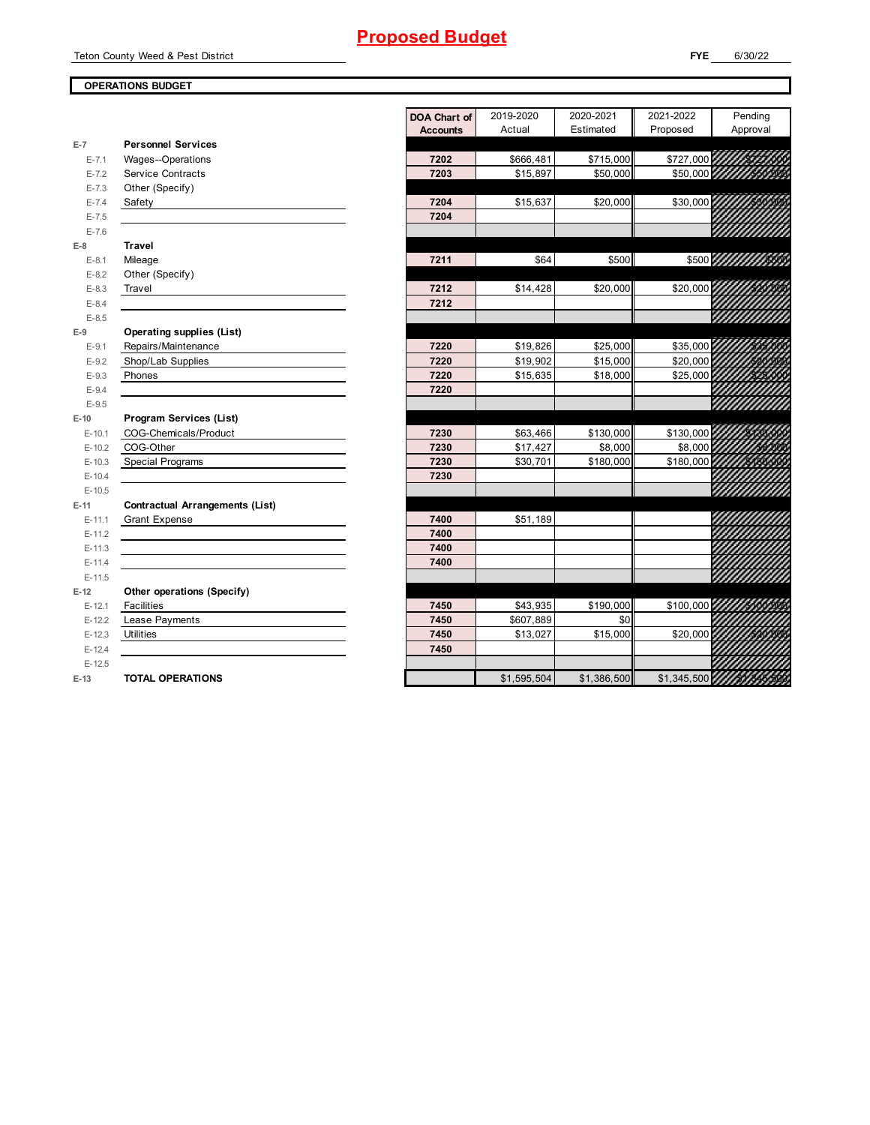Teton County Weed & Pest District

### **OPERATIONS BUDGET**

|           |                                        | <b>DOA Chart of</b> | 2019-2020   | 2020-2021   | 2021-2022   | Pending             |
|-----------|----------------------------------------|---------------------|-------------|-------------|-------------|---------------------|
|           |                                        | <b>Accounts</b>     | Actual      | Estimated   | Proposed    | Approval            |
| $E-7$     | <b>Personnel Services</b>              |                     |             |             |             |                     |
| $E - 7.1$ | <b>Wages--Operations</b>               | 7202                | \$666,481   | \$715,000   |             | \$727,000 111115001 |
| $E - 7.2$ | <b>Service Contracts</b>               | 7203                | \$15,897    | \$50,000    |             |                     |
| $E - 7.3$ | Other (Specify)                        |                     |             |             |             |                     |
| $E - 7.4$ | Safety                                 | 7204                | \$15,637    | \$20,000    | \$30,000    |                     |
| $E - 7.5$ |                                        | 7204                |             |             |             |                     |
| $E - 7.6$ |                                        |                     |             |             |             |                     |
| $E-8$     | <b>Travel</b>                          |                     |             |             |             |                     |
| $E-8.1$   | Mileage                                | 7211                | \$64        | \$500       |             | \$500 WWW WASH      |
| $E-8.2$   | Other (Specify)                        |                     |             |             |             |                     |
| $E-8.3$   | Travel                                 | 7212                | \$14,428    | \$20,000    | \$20,000    |                     |
| $E-8.4$   |                                        | 7212                |             |             |             |                     |
| $E-8.5$   |                                        |                     |             |             |             |                     |
| $E-9$     | <b>Operating supplies (List)</b>       |                     |             |             |             |                     |
| $E-9.1$   | Repairs/Maintenance                    | 7220                | \$19,826    | \$25,000    | \$35,000    |                     |
| $E-9.2$   | Shop/Lab Supplies                      | 7220                | \$19,902    | \$15,000    | \$20,000    |                     |
| $E-9.3$   | Phones                                 | 7220                | \$15,635    | \$18,000    | \$25,000    |                     |
| $E - 9.4$ |                                        | 7220                |             |             |             |                     |
| $E-9.5$   |                                        |                     |             |             |             |                     |
| $E-10$    | Program Services (List)                |                     |             |             |             |                     |
| $E-10.1$  | COG-Chemicals/Product                  | 7230                | \$63,466    | \$130,000   | \$130,000   |                     |
| $E-10.2$  | COG-Other                              | 7230                | \$17,427    | \$8,000     | \$8,000     |                     |
| $E-10.3$  | <b>Special Programs</b>                | 7230                | \$30,701    | \$180,000   | \$180,000   |                     |
| $E-10.4$  |                                        | 7230                |             |             |             |                     |
| $E-10.5$  |                                        |                     |             |             |             |                     |
| $E-11$    | <b>Contractual Arrangements (List)</b> |                     |             |             |             |                     |
| $E-11.1$  | <b>Grant Expense</b>                   | 7400                | \$51,189    |             |             |                     |
| $E-11.2$  |                                        | 7400                |             |             |             |                     |
| $E-11.3$  |                                        | 7400                |             |             |             |                     |
| $E-11.4$  |                                        | 7400                |             |             |             |                     |
| $E-11.5$  |                                        |                     |             |             |             |                     |
| $E-12$    | Other operations (Specify)             |                     |             |             |             |                     |
| $E-12.1$  | Facilities                             | 7450                | \$43,935    | \$190,000   | \$100,000   |                     |
| $E-12.2$  | Lease Payments                         | 7450                | \$607,889   | \$0         |             |                     |
| $E-12.3$  | Utilities                              | 7450                | \$13,027    | \$15,000    | \$20,000    |                     |
| $E-12.4$  |                                        | 7450                |             |             |             |                     |
| $E-12.5$  |                                        |                     |             |             |             |                     |
| $E-13$    | <b>TOTAL OPERATIONS</b>                |                     | \$1,595,504 | \$1,386,500 | \$1,345,500 |                     |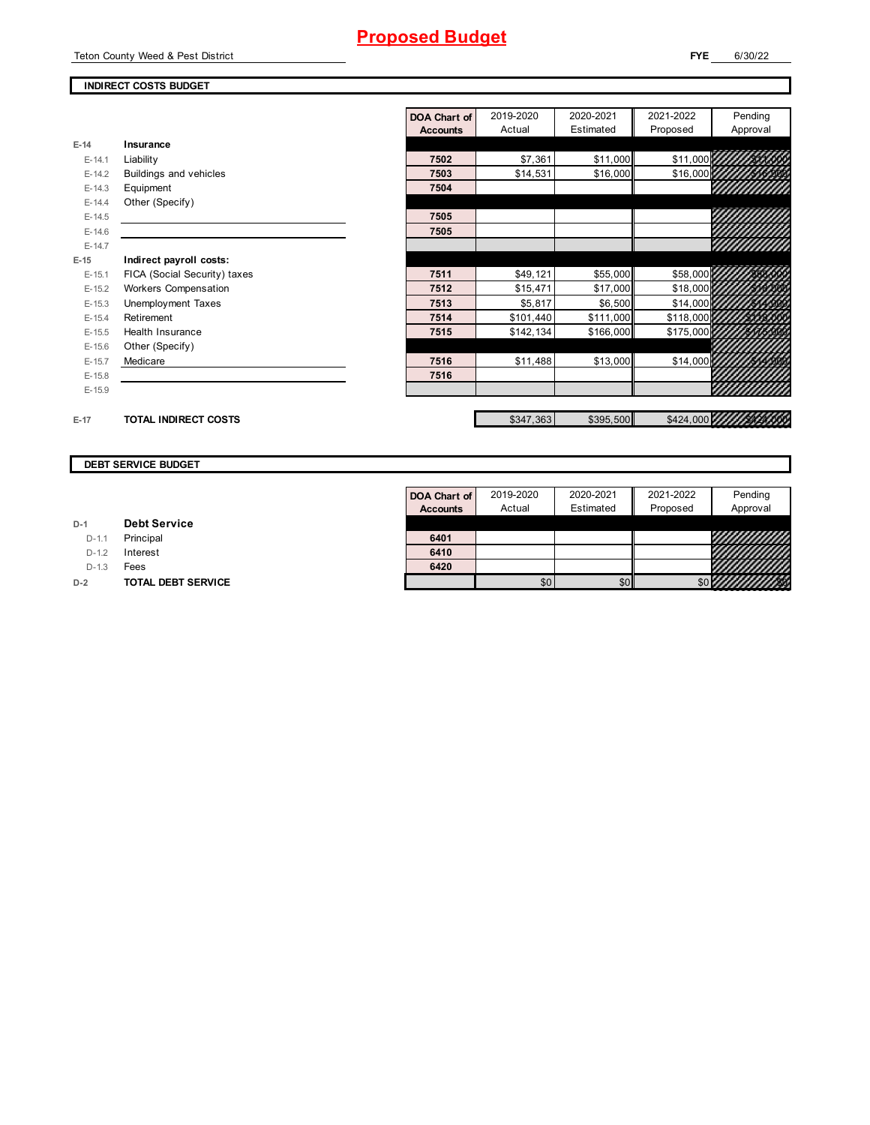Teton County Weed & Pest District

#### **FYE** 6/30/22

### **INDIRECT COSTS BUDGET**

**E-14 Insurance**

**E-15 Indirect payroll costs:**

|          |                              | DOA Chart of    | 2019-2020 | 2020-2021 | 2021-2022    | Pending               |
|----------|------------------------------|-----------------|-----------|-----------|--------------|-----------------------|
|          |                              | <b>Accounts</b> | Actual    | Estimated | Proposed     | Approval              |
| $E-14$   | Insurance                    |                 |           |           |              |                       |
| $E-14.1$ | Liability                    | 7502            | \$7,361   | \$11,000  | \$11,000 757 |                       |
| $E-14.2$ | Buildings and vehicles       | 7503            | \$14,531  | \$16,000  | \$16,000     |                       |
| $E-14.3$ | Equipment                    | 7504            |           |           |              | 99999999              |
| $E-14.4$ | Other (Specify)              |                 |           |           |              |                       |
| $E-14.5$ |                              | 7505            |           |           |              |                       |
| $E-14.6$ |                              | 7505            |           |           |              |                       |
| $E-14.7$ |                              |                 |           |           |              | <i>VIIIIIIIIIII</i>   |
| $E-15$   | Indirect payroll costs:      |                 |           |           |              |                       |
| $E-15.1$ | FICA (Social Security) taxes | 7511            | \$49,121  | \$55,000  | \$58,000     |                       |
| $E-15.2$ | Workers Compensation         | 7512            | \$15,471  | \$17,000  | \$18,000     |                       |
| $E-15.3$ | Unemployment Taxes           | 7513            | \$5,817   | \$6,500   | \$14,000     |                       |
| $E-15.4$ | Retirement                   | 7514            | \$101,440 | \$111,000 | \$118,000    |                       |
| $E-15.5$ | Health Insurance             | 7515            | \$142,134 | \$166,000 | \$175,000    |                       |
| $E-15.6$ | Other (Specify)              |                 |           |           |              |                       |
| $E-15.7$ | Medicare                     | 7516            | \$11,488  | \$13,000  | \$14,000     |                       |
| $E-15.8$ |                              | 7516            |           |           |              |                       |
| $E-15.9$ |                              |                 |           |           |              |                       |
| $E-17$   | <b>TOTAL INDIRECT COSTS</b>  |                 | \$347,363 | \$395,500 |              | \$424,000 11111444500 |

#### **DEBT SERVICE BUDGET**

|         |                     | Accour |
|---------|---------------------|--------|
| $D-1$   | <b>Debt Service</b> |        |
|         | D-1.1 Principal     | 6401   |
| $D-1.2$ | Interest            | 6410   |
|         |                     |        |

D-1.3 **Fees D-2 TOTAL DEBT SERVICE** 

| <b>DOA Chart of</b> | 2019-2020 | 2020-2021 | 2021-2022 | Pending                 |
|---------------------|-----------|-----------|-----------|-------------------------|
| <b>Accounts</b>     | Actual    | Estimated | Proposed  | Approval                |
|                     |           |           |           |                         |
| 6401                |           |           |           | 9000000                 |
| 6410                |           |           |           | ,,,,,,,,,,              |
| 6420                |           |           |           | Vililililili            |
|                     |           |           |           | \$0 <i>4444141115</i> 0 |